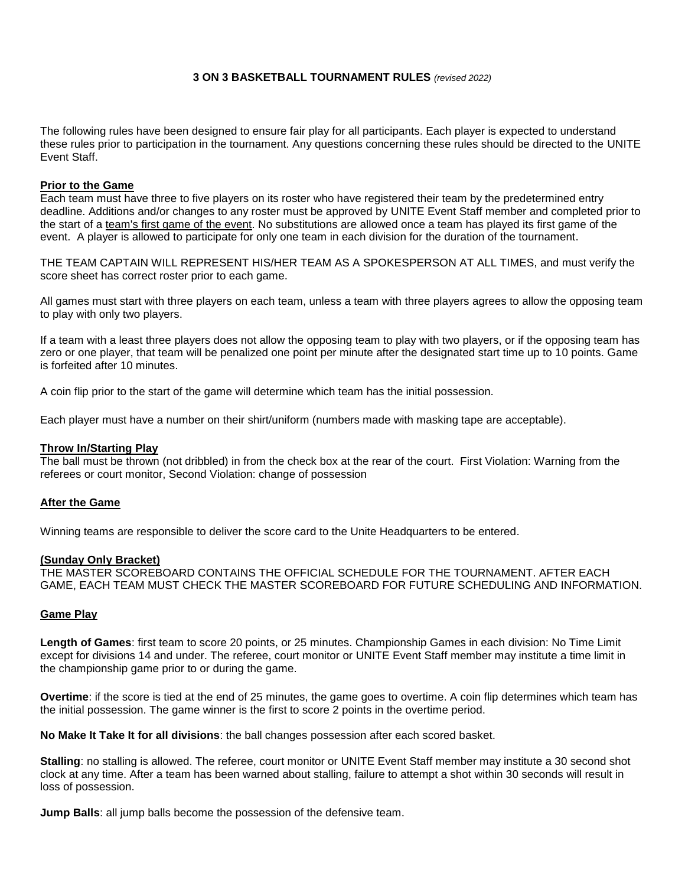## **3 ON 3 BASKETBALL TOURNAMENT RULES** *(revised 2022)*

The following rules have been designed to ensure fair play for all participants. Each player is expected to understand these rules prior to participation in the tournament. Any questions concerning these rules should be directed to the UNITE Event Staff.

## **Prior to the Game**

Each team must have three to five players on its roster who have registered their team by the predetermined entry deadline. Additions and/or changes to any roster must be approved by UNITE Event Staff member and completed prior to the start of a team's first game of the event. No substitutions are allowed once a team has played its first game of the event. A player is allowed to participate for only one team in each division for the duration of the tournament.

THE TEAM CAPTAIN WILL REPRESENT HIS/HER TEAM AS A SPOKESPERSON AT ALL TIMES, and must verify the score sheet has correct roster prior to each game.

All games must start with three players on each team, unless a team with three players agrees to allow the opposing team to play with only two players.

If a team with a least three players does not allow the opposing team to play with two players, or if the opposing team has zero or one player, that team will be penalized one point per minute after the designated start time up to 10 points. Game is forfeited after 10 minutes.

A coin flip prior to the start of the game will determine which team has the initial possession.

Each player must have a number on their shirt/uniform (numbers made with masking tape are acceptable).

### **Throw In/Starting Play**

The ball must be thrown (not dribbled) in from the check box at the rear of the court. First Violation: Warning from the referees or court monitor, Second Violation: change of possession

## **After the Game**

Winning teams are responsible to deliver the score card to the Unite Headquarters to be entered.

#### **(Sunday Only Bracket)**

THE MASTER SCOREBOARD CONTAINS THE OFFICIAL SCHEDULE FOR THE TOURNAMENT. AFTER EACH GAME, EACH TEAM MUST CHECK THE MASTER SCOREBOARD FOR FUTURE SCHEDULING AND INFORMATION.

## **Game Play**

**Length of Games**: first team to score 20 points, or 25 minutes. Championship Games in each division: No Time Limit except for divisions 14 and under. The referee, court monitor or UNITE Event Staff member may institute a time limit in the championship game prior to or during the game.

**Overtime**: if the score is tied at the end of 25 minutes, the game goes to overtime. A coin flip determines which team has the initial possession. The game winner is the first to score 2 points in the overtime period.

**No Make It Take It for all divisions**: the ball changes possession after each scored basket.

**Stalling**: no stalling is allowed. The referee, court monitor or UNITE Event Staff member may institute a 30 second shot clock at any time. After a team has been warned about stalling, failure to attempt a shot within 30 seconds will result in loss of possession.

**Jump Balls**: all jump balls become the possession of the defensive team.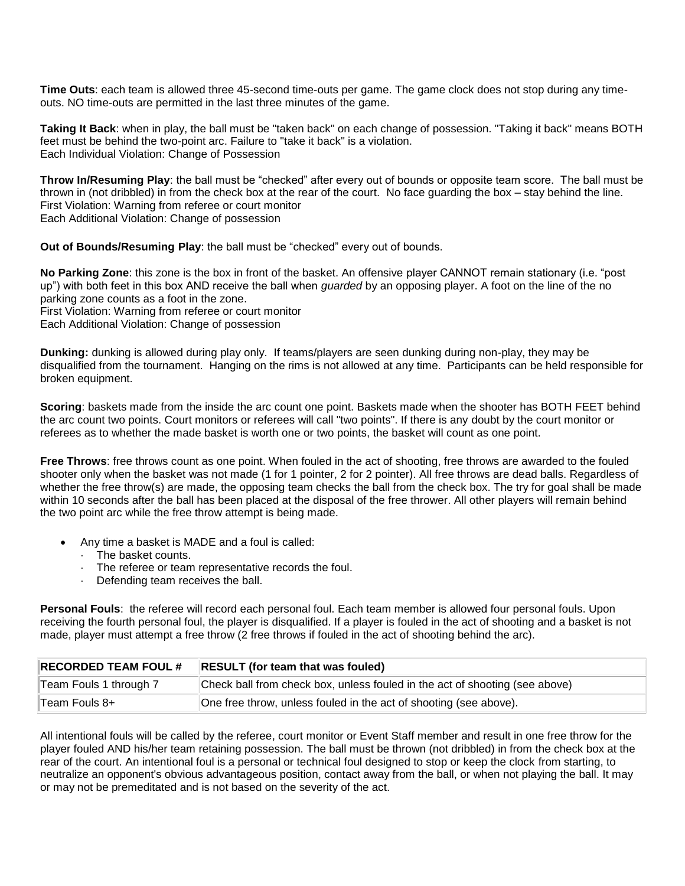**Time Outs**: each team is allowed three 45-second time-outs per game. The game clock does not stop during any timeouts. NO time-outs are permitted in the last three minutes of the game.

**Taking It Back**: when in play, the ball must be "taken back" on each change of possession. "Taking it back" means BOTH feet must be behind the two-point arc. Failure to "take it back" is a violation. Each Individual Violation: Change of Possession

**Throw In/Resuming Play**: the ball must be "checked" after every out of bounds or opposite team score. The ball must be thrown in (not dribbled) in from the check box at the rear of the court. No face guarding the box – stay behind the line. First Violation: Warning from referee or court monitor Each Additional Violation: Change of possession

**Out of Bounds/Resuming Play**: the ball must be "checked" every out of bounds.

**No Parking Zone**: this zone is the box in front of the basket. An offensive player CANNOT remain stationary (i.e. "post up") with both feet in this box AND receive the ball when *guarded* by an opposing player. A foot on the line of the no parking zone counts as a foot in the zone. First Violation: Warning from referee or court monitor

Each Additional Violation: Change of possession

**Dunking:** dunking is allowed during play only. If teams/players are seen dunking during non-play, they may be disqualified from the tournament. Hanging on the rims is not allowed at any time. Participants can be held responsible for broken equipment.

**Scoring**: baskets made from the inside the arc count one point. Baskets made when the shooter has BOTH FEET behind the arc count two points. Court monitors or referees will call "two points". If there is any doubt by the court monitor or referees as to whether the made basket is worth one or two points, the basket will count as one point.

**Free Throws**: free throws count as one point. When fouled in the act of shooting, free throws are awarded to the fouled shooter only when the basket was not made (1 for 1 pointer, 2 for 2 pointer). All free throws are dead balls. Regardless of whether the free throw(s) are made, the opposing team checks the ball from the check box. The try for goal shall be made within 10 seconds after the ball has been placed at the disposal of the free thrower. All other players will remain behind the two point arc while the free throw attempt is being made.

- Any time a basket is MADE and a foul is called:
	- · The basket counts.
	- · The referee or team representative records the foul.
	- · Defending team receives the ball.

**Personal Fouls**: the referee will record each personal foul. Each team member is allowed four personal fouls. Upon receiving the fourth personal foul, the player is disqualified. If a player is fouled in the act of shooting and a basket is not made, player must attempt a free throw (2 free throws if fouled in the act of shooting behind the arc).

| <b>RECORDED TEAM FOUL #</b> | <b>RESULT</b> (for team that was fouled)                                    |
|-----------------------------|-----------------------------------------------------------------------------|
| Team Fouls 1 through 7      | Check ball from check box, unless fouled in the act of shooting (see above) |
| Team Fouls 8+               | One free throw, unless fouled in the act of shooting (see above).           |

All intentional fouls will be called by the referee, court monitor or Event Staff member and result in one free throw for the player fouled AND his/her team retaining possession. The ball must be thrown (not dribbled) in from the check box at the rear of the court. An intentional foul is a personal or technical foul designed to stop or keep the clock from starting, to neutralize an opponent's obvious advantageous position, contact away from the ball, or when not playing the ball. It may or may not be premeditated and is not based on the severity of the act.